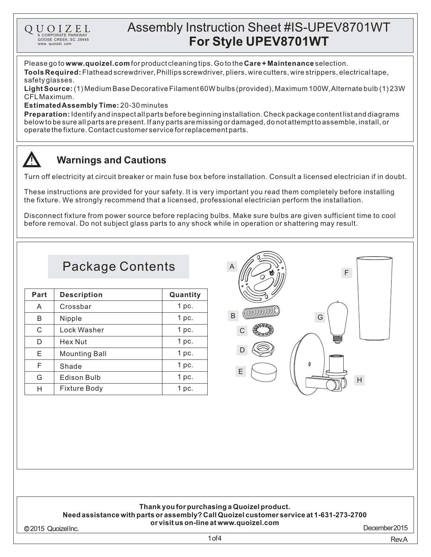# Assembly Instruction Sheet #IS-UPEV8701WT **For Style UPEV8701WT**

Please go to **www.quoizel.com** for product cleaning tips. Go to the **Care + Maintenance** selection.

**Tools Required:** Flathead screwdriver, Phillips screwdriver, pliers, wire cutters, wire strippers, electrical tape, safetyglasses.

(1) Medium Base Decorative Filament 60W bulbs (provided), Maximum 100W,Alternate bulb (1) 23W **LightSource:** CFLMaximum.

## **Estimated Assembly Time:** 20-30 minutes

6 CORPORATE PARKWAY<br>GOOSE CREEK, SC. 29445 www. quoizel. com

QUOIZEL

**Preparation:** Identify and inspect all parts before beginning installation. Check package content list and diagrams belowtobesureallpartsarepresent.Ifanypartsaremissingordamaged,donotattempttoassemble,install,or operatethefixture.Contactcustomerserviceforreplacementparts.

## **Warnings and Cautions**

Turn off electricity at circuit breaker or main fuse box before installation. Consult a licensed electrician if in doubt.

These instructions are provided for your safety. It is very important you read them completely before installing the fixture. We strongly recommend that a licensed, professional electrician perform the installation.

Disconnect fixture from power source before replacing bulbs. Make sure bulbs are given sufficient time to cool before removal. Do not subject glass parts to any shock while in operation or shattering may result.

# Package Contents

| Part | <b>Description</b>   | Quantity         |
|------|----------------------|------------------|
| A    | Crossbar             | 1 <sub>pc.</sub> |
| B    | Nipple               | 1 pc.            |
| C    | Lock Washer          | 1 <sub>pc.</sub> |
| D    | Hex Nut              | 1 <sub>pc.</sub> |
| Е    | <b>Mounting Ball</b> | 1 <sub>pc.</sub> |
| F    | Shade                | 1 <sub>pc.</sub> |
| G    | <b>Edison Bulb</b>   | 1 <sub>pc.</sub> |
| н    | <b>Fixture Body</b>  | 1 pc.            |





## **Thank youfor purchasinga Quoizelproduct.**

#### **Needassistance withparts or assembly?CallQuoizelcustomer service at 1-631-273-2700 or visit us on-line at www.quoizel.com**

2015 QuoizelInc.

December2015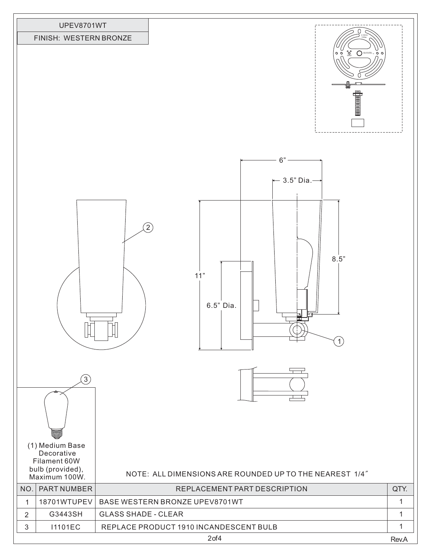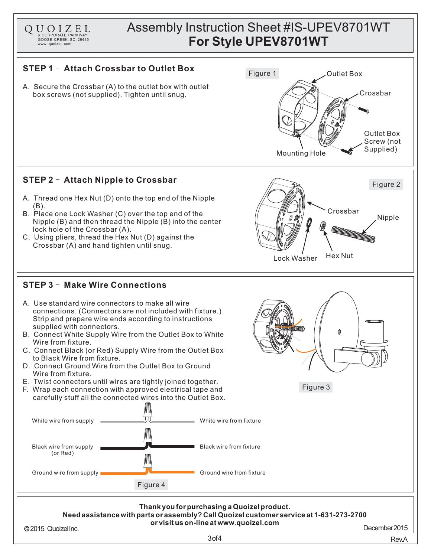

**Needassistance withparts or assembly?CallQuoizelcustomer service at 1-631-273-2700 or visit us on-line at www.quoizel.com**

2015 QuoizelInc. December2015

3of4